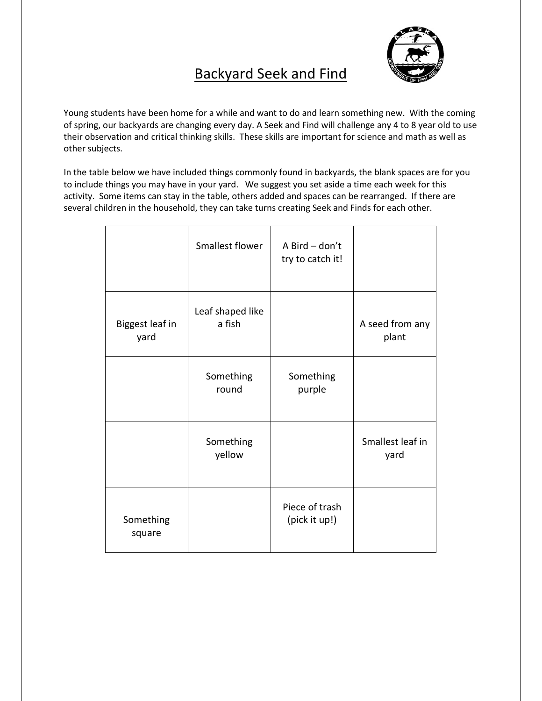## Backyard Seek and Find



Young students have been home for a while and want to do and learn something new. With the coming of spring, our backyards are changing every day. A Seek and Find will challenge any 4 to 8 year old to use their observation and critical thinking skills. These skills are important for science and math as well as other subjects.

In the table below we have included things commonly found in backyards, the blank spaces are for you to include things you may have in your yard. We suggest you set aside a time each week for this activity. Some items can stay in the table, others added and spaces can be rearranged. If there are several children in the household, they can take turns creating Seek and Finds for each other.

|                         | Smallest flower            | A Bird - don't<br>try to catch it! |                          |
|-------------------------|----------------------------|------------------------------------|--------------------------|
| Biggest leaf in<br>yard | Leaf shaped like<br>a fish |                                    | A seed from any<br>plant |
|                         | Something<br>round         | Something<br>purple                |                          |
|                         | Something<br>yellow        |                                    | Smallest leaf in<br>yard |
| Something<br>square     |                            | Piece of trash<br>(pick it up!)    |                          |